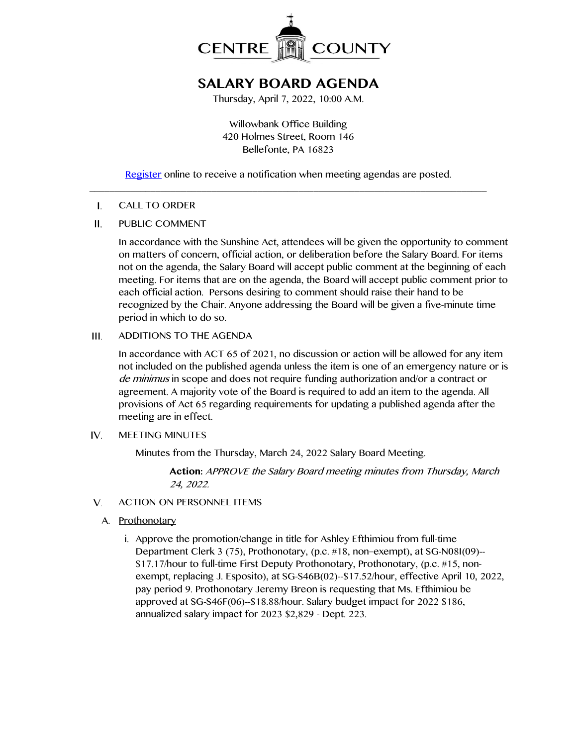

# **SALARY BOARD AGENDA**

Thursday, April 7, 2022, 10:00 A.M.

Willowbank Office Building 420 Holmes Street, Room 146 Bellefonte, PA 16823

[Register](http://www.centrecountypa.gov/AgendaCenter) online to receive a notification when meeting agendas are posted.  $\_$  , and the set of the set of the set of the set of the set of the set of the set of the set of the set of the set of the set of the set of the set of the set of the set of the set of the set of the set of the set of th

#### I. CALL TO ORDER

#### $II.$ PUBLIC COMMENT

In accordance with the Sunshine Act, attendees will be given the opportunity to comment on matters of concern, official action, or deliberation before the Salary Board. For items not on the agenda, the Salary Board will accept public comment at the beginning of each meeting. For items that are on the agenda, the Board will accept public comment prior to each official action. Persons desiring to comment should raise their hand to be recognized by the Chair. Anyone addressing the Board will be given a five-minute time period in which to do so.

### $III.$ ADDITIONS TO THE AGENDA

In accordance with ACT 65 of 2021, no discussion or action will be allowed for any item not included on the published agenda unless the item is one of an emergency nature or is de minimus in scope and does not require funding authorization and/or a contract or agreement. A majority vote of the Board is required to add an item to the agenda. All provisions of Act 65 regarding requirements for updating a published agenda after the meeting are in effect.

### IV. MEETING MINUTES

Minutes from the Thursday, March 24, 2022 Salary Board Meeting.

**Action:** APPROVE the Salary Board meeting minutes from Thursday, March 24, 2022.

- V. ACTION ON PERSONNEL ITEMS
	- A. Prothonotary
		- i. Approve the promotion/change in title for Ashley Efthimiou from full-time Department Clerk 3 (75), Prothonotary, (p.c. #18, non–exempt), at SG-N08I(09)-- \$17.17/hour to full-time First Deputy Prothonotary, Prothonotary, (p.c. #15, nonexempt, replacing J. Esposito), at SG-S46B(02)--\$17.52/hour, effective April 10, 2022, pay period 9. Prothonotary Jeremy Breon is requesting that Ms. Efthimiou be approved at SG-S46F(06)--\$18.88/hour. Salary budget impact for 2022 \$186, annualized salary impact for 2023 \$2,829 - Dept. 223.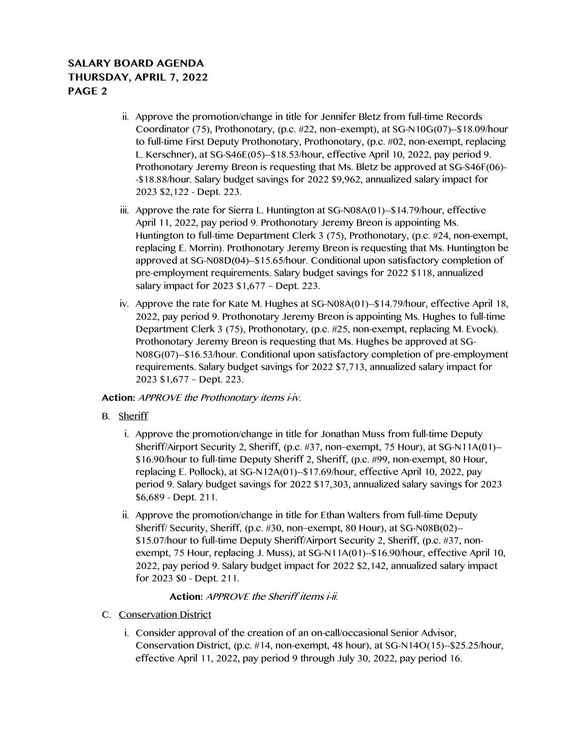# **SALARY BOARD AGENDA THURSDAY, APRIL 7, 2022 PAGE 2**

- ii. Approve the promotion/change in title for Jennifer Bletz from full-time Records Coordinator (75), Prothonotary, (p.c. #22, non–exempt), at SG-N10G(07)--\$18.09/hour to full-time First Deputy Prothonotary, Prothonotary, (p.c. #02, non-exempt, replacing L. Kerschner), at SG-S46E(05)--\$18.53/hour, effective April 10, 2022, pay period 9. Prothonotary Jeremy Breon is requesting that Ms. Bletz be approved at SG-S46F(06)- -\$18.88/hour. Salary budget savings for 2022 \$9,962, annualized salary impact for 2023 \$2,122 - Dept. 223.
- iii. Approve the rate for Sierra L. Huntington at SG-N08A(01)--\$14.79/hour, effective April 11, 2022, pay period 9. Prothonotary Jeremy Breon is appointing Ms. Huntington to full-time Department Clerk 3 (75), Prothonotary, (p.c. #24, non-exempt, replacing E. Morrin). Prothonotary Jeremy Breon is requesting that Ms. Huntington be approved at SG-N08D(04)--\$15.65/hour. Conditional upon satisfactory completion of pre-employment requirements. Salary budget savings for 2022 \$118, annualized salary impact for 2023 \$1,677 – Dept. 223.
- iv. Approve the rate for Kate M. Hughes at SG-N08A(01)--\$14.79/hour, effective April 18, 2022, pay period 9. Prothonotary Jeremy Breon is appointing Ms. Hughes to full-time Department Clerk 3 (75), Prothonotary, (p.c. #25, non-exempt, replacing M. Evock). Prothonotary Jeremy Breon is requesting that Ms. Hughes be approved at SG-N08G(07)--\$16.53/hour. Conditional upon satisfactory completion of pre-employment requirements. Salary budget savings for 2022 \$7,713, annualized salary impact for 2023 \$1,677 – Dept. 223.

### **Action:** APPROVE the Prothonotary items i-iv.

- B. Sheriff
	- i. Approve the promotion/change in title for Jonathan Muss from full-time Deputy Sheriff/Airport Security 2, Sheriff, (p.c. #37, non–exempt, 75 Hour), at SG-N11A(01)-- \$16.90/hour to full-time Deputy Sheriff 2, Sheriff, (p.c. #99, non-exempt, 80 Hour, replacing E. Pollock), at SG-N12A(01)--\$17.69/hour, effective April 10, 2022, pay period 9. Salary budget savings for 2022 \$17,303, annualized salary savings for 2023 \$6,689 - Dept. 211.
	- ii. Approve the promotion/change in title for Ethan Walters from full-time Deputy Sheriff/ Security, Sheriff, (p.c. #30, non–exempt, 80 Hour), at SG-N08B(02)-- \$15.07/hour to full-time Deputy Sheriff/Airport Security 2, Sheriff, (p.c. #37, nonexempt, 75 Hour, replacing J. Muss), at SG-N11A(01)--\$16.90/hour, effective April 10, 2022, pay period 9. Salary budget impact for 2022 \$2,142, annualized salary impact for 2023 \$0 - Dept. 211.

### **Action:** APPROVE the Sheriff items i-ii.

- C. Conservation District
	- i. Consider approval of the creation of an on-call/occasional Senior Advisor, Conservation District, (p.c. #14, non-exempt, 48 hour), at SG-N14O(15)--\$25.25/hour, effective April 11, 2022, pay period 9 through July 30, 2022, pay period 16.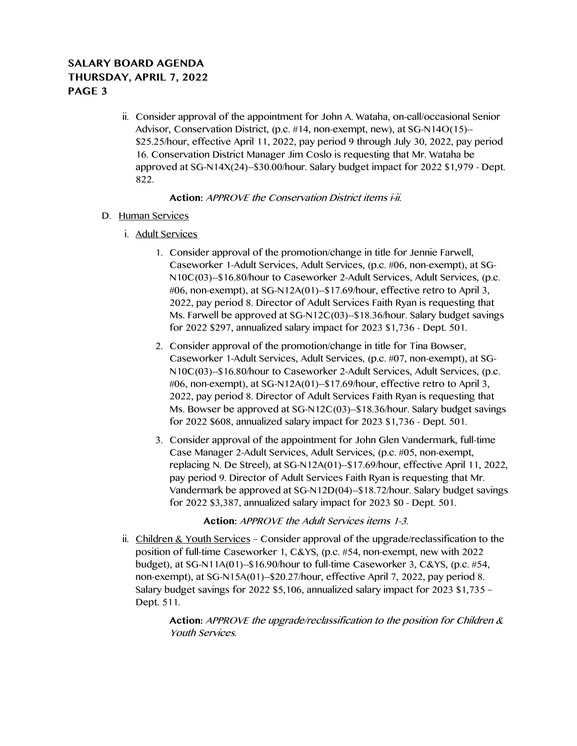# **SALARY BOARD AGENDA THURSDAY, APRIL 7, 2022 PAGE 3**

ii. Consider approval of the appointment for John A. Wataha, on-call/occasional Senior Advisor, Conservation District, (p.c. #14, non-exempt, new), at SG-N14O(15)-- \$25.25/hour, effective April 11, 2022, pay period 9 through July 30, 2022, pay period 16. Conservation District Manager Jim Coslo is requesting that Mr. Wataha be approved at SG-N14X(24)--\$30.00/hour. Salary budget impact for 2022 \$1,979 - Dept. 822.

### **Action:** APPROVE the Conservation District items i-ii.

- D. Human Services
	- i. Adult Services
		- 1. Consider approval of the promotion/change in title for Jennie Farwell, Caseworker 1-Adult Services, Adult Services, (p.c. #06, non-exempt), at SG-N10C(03)--\$16.80/hour to Caseworker 2-Adult Services, Adult Services, (p.c. #06, non-exempt), at SG-N12A(01)--\$17.69/hour, effective retro to April 3, 2022, pay period 8. Director of Adult Services Faith Ryan is requesting that Ms. Farwell be approved at SG-N12C(03)--\$18.36/hour. Salary budget savings for 2022 \$297, annualized salary impact for 2023 \$1,736 - Dept. 501.
		- 2. Consider approval of the promotion/change in title for Tina Bowser, Caseworker 1-Adult Services, Adult Services, (p.c. #07, non-exempt), at SG-N10C(03)--\$16.80/hour to Caseworker 2-Adult Services, Adult Services, (p.c. #06, non-exempt), at SG-N12A(01)--\$17.69/hour, effective retro to April 3, 2022, pay period 8. Director of Adult Services Faith Ryan is requesting that Ms. Bowser be approved at SG-N12C(03)--\$18.36/hour. Salary budget savings for 2022 \$608, annualized salary impact for 2023 \$1,736 - Dept. 501.
		- 3. Consider approval of the appointment for John Glen Vandermark, full-time Case Manager 2-Adult Services, Adult Services, (p.c. #05, non-exempt, replacing N. De Streel), at SG-N12A(01)--\$17.69/hour, effective April 11, 2022, pay period 9. Director of Adult Services Faith Ryan is requesting that Mr. Vandermark be approved at SG-N12D(04)--\$18.72/hour. Salary budget savings for 2022 \$3,387, annualized salary impact for 2023 \$0 - Dept. 501.

**Action:** APPROVE the Adult Services items 1-3.

ii. Children & Youth Services - Consider approval of the upgrade/reclassification to the position of full-time Caseworker 1, C&YS, (p.c. #54, non-exempt, new with 2022 budget), at SG-N11A(01)--\$16.90/hour to full-time Caseworker 3, C&YS, (p.c. #54, non-exempt), at SG-N15A(01)--\$20.27/hour, effective April 7, 2022, pay period 8. Salary budget savings for 2022 \$5,106, annualized salary impact for 2023 \$1,735 – Dept. 511.

> **Action:** APPROVE the upgrade/reclassification to the position for Children & Youth Services.